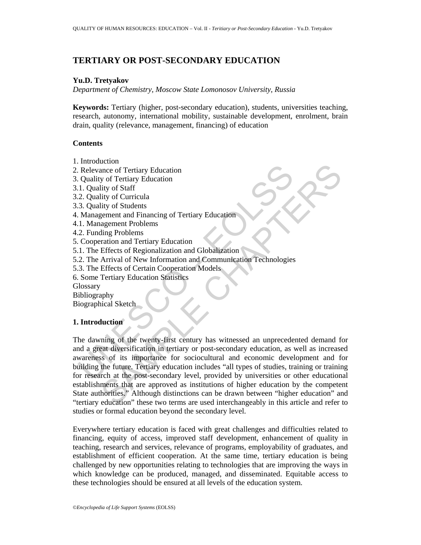# **TERTIARY OR POST-SECONDARY EDUCATION**

#### **Yu.D. Tretyakov**

*Department of Chemistry, Moscow State Lomonosov University, Russia* 

**Keywords:** Tertiary (higher, post-secondary education), students, universities teaching, research, autonomy, international mobility, sustainable development, enrolment, brain drain, quality (relevance, management, financing) of education

### **Contents**

- 1. Introduction
- 2. Relevance of Tertiary Education
- 3. Quality of Tertiary Education
- 3.1. Quality of Staff
- 3.2. Quality of Curricula
- 3.3. Quality of Students
- 4. Management and Financing of Tertiary Education
- 4.1. Management Problems
- 4.2. Funding Problems
- 5. Cooperation and Tertiary Education
- 5.1. The Effects of Regionalization and Globalization
- 5.2. The Arrival of New Information and Communication Technologies
- 5.3. The Effects of Certain Cooperation Models
- 6. Some Tertiary Education Statistics
- **Glossary**
- Bibliography
- Biographical Sketch

### **1. Introduction**

Relevance of Tertiary Education<br>
1. Quality of Tertiary Education<br>
1. Quality of Tertiary Education<br>
1. Quality of Staff<br>
3. Quality of Students<br>
3. Quality of Students<br>
2. Funding Problems<br>
2. Comperation and Tertiary Edu Example of Tertiary Education<br>
ance of Tertiary Education<br>
hity of Starf<br>
hity of Curricula<br>
hity of Curricula<br>
hity of Curricula<br>
hity of Students<br>
agement Problems<br>
agement Problems<br>
agement Problems<br>
agement Problems<br>
a The dawning of the twenty-first century has witnessed an unprecedented demand for and a great diversification in tertiary or post-secondary education, as well as increased awareness of its importance for sociocultural and economic development and for building the future. Tertiary education includes "all types of studies, training or training for research at the post-secondary level, provided by universities or other educational establishments that are approved as institutions of higher education by the competent State authorities." Although distinctions can be drawn between "higher education" and "tertiary education" these two terms are used interchangeably in this article and refer to studies or formal education beyond the secondary level.

Everywhere tertiary education is faced with great challenges and difficulties related to financing, equity of access, improved staff development, enhancement of quality in teaching, research and services, relevance of programs, employability of graduates, and establishment of efficient cooperation. At the same time, tertiary education is being challenged by new opportunities relating to technologies that are improving the ways in which knowledge can be produced, managed, and disseminated. Equitable access to these technologies should be ensured at all levels of the education system.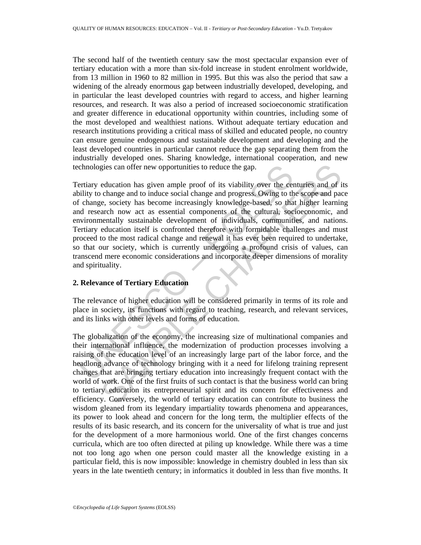The second half of the twentieth century saw the most spectacular expansion ever of tertiary education with a more than six-fold increase in student enrolment worldwide, from 13 million in 1960 to 82 million in 1995. But this was also the period that saw a widening of the already enormous gap between industrially developed, developing, and in particular the least developed countries with regard to access, and higher learning resources, and research. It was also a period of increased socioeconomic stratification and greater difference in educational opportunity within countries, including some of the most developed and wealthiest nations. Without adequate tertiary education and research institutions providing a critical mass of skilled and educated people, no country can ensure genuine endogenous and sustainable development and developing and the least developed countries in particular cannot reduce the gap separating them from the industrially developed ones. Sharing knowledge, international cooperation, and new technologies can offer new opportunities to reduce the gap.

chnologies can offer new opportunities to reduce the gap.<br>
ertiary education has given ample proof of its viability over the ce<br>
bility to change and to induce social change and progress. Owing to the<br>
f change, society ha gies can offer new opportunities to reduce the gap.<br>
education has given ample proof of its viability over the centuries and of i<br>
change and to induce social change and progress. Owing to the scope and pac<br>
e, e. society Tertiary education has given ample proof of its viability over the centuries and of its ability to change and to induce social change and progress. Owing to the scope and pace of change, society has become increasingly knowledge-based, so that higher learning and research now act as essential components of the cultural, socioeconomic, and environmentally sustainable development of individuals, communities, and nations. Tertiary education itself is confronted therefore with formidable challenges and must proceed to the most radical change and renewal it has ever been required to undertake, so that our society, which is currently undergoing a profound crisis of values, can transcend mere economic considerations and incorporate deeper dimensions of morality and spirituality.

### **2. Relevance of Tertiary Education**

The relevance of higher education will be considered primarily in terms of its role and place in society, its functions with regard to teaching, research, and relevant services, and its links with other levels and forms of education.

The globalization of the economy, the increasing size of multinational companies and their international influence, the modernization of production processes involving a raising of the education level of an increasingly large part of the labor force, and the headlong advance of technology bringing with it a need for lifelong training represent changes that are bringing tertiary education into increasingly frequent contact with the world of work. One of the first fruits of such contact is that the business world can bring to tertiary education its entrepreneurial spirit and its concern for effectiveness and efficiency. Conversely, the world of tertiary education can contribute to business the wisdom gleaned from its legendary impartiality towards phenomena and appearances, its power to look ahead and concern for the long term, the multiplier effects of the results of its basic research, and its concern for the universality of what is true and just for the development of a more harmonious world. One of the first changes concerns curricula, which are too often directed at piling up knowledge. While there was a time not too long ago when one person could master all the knowledge existing in a particular field, this is now impossible: knowledge in chemistry doubled in less than six years in the late twentieth century; in informatics it doubled in less than five months. It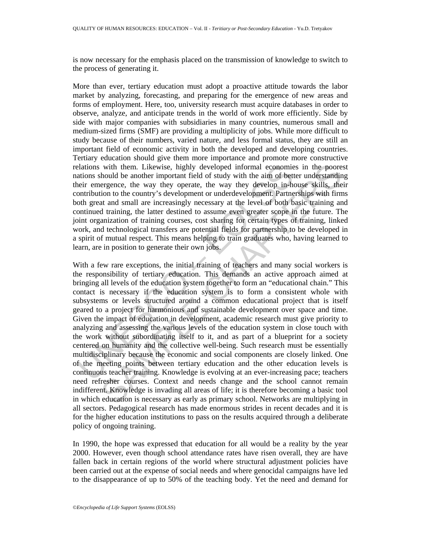is now necessary for the emphasis placed on the transmission of knowledge to switch to the process of generating it.

More than ever, tertiary education must adopt a proactive attitude towards the labor market by analyzing, forecasting, and preparing for the emergence of new areas and forms of employment. Here, too, university research must acquire databases in order to observe, analyze, and anticipate trends in the world of work more efficiently. Side by side with major companies with subsidiaries in many countries, numerous small and medium-sized firms (SMF) are providing a multiplicity of jobs. While more difficult to study because of their numbers, varied nature, and less formal status, they are still an important field of economic activity in both the developed and developing countries. Tertiary education should give them more importance and promote more constructive relations with them. Likewise, highly developed informal economies in the poorest nations should be another important field of study with the aim of better understanding their emergence, the way they operate, the way they develop in-house skills, their contribution to the country's development or underdevelopment. Partnerships with firms both great and small are increasingly necessary at the level of both basic training and continued training, the latter destined to assume even greater scope in the future. The joint organization of training courses, cost sharing for certain types of training, linked work, and technological transfers are potential fields for partnership to be developed in a spirit of mutual respect. This means helping to train graduates who, having learned to learn, are in position to generate their own jobs.

elations with them. Likewise, highly developed informal economia<br>tions should be another important field of study with the aim of bettein<br>remergence, the way they operate, the way they develop in-hor<br>notribution to the cou with them. Likewise, highly developed informal economies in the poore<br>hould be another important field of study with the aim of better understanding<br>energence, the way they operate, the way they develop in-house skills, th With a few rare exceptions, the initial training of teachers and many social workers is the responsibility of tertiary education. This demands an active approach aimed at bringing all levels of the education system together to form an "educational chain." This contact is necessary if the education system is to form a consistent whole with subsystems or levels structured around a common educational project that is itself geared to a project for harmonious and sustainable development over space and time. Given the impact of education in development, academic research must give priority to analyzing and assessing the various levels of the education system in close touch with the work without subordinating itself to it, and as part of a blueprint for a society centered on humanity and the collective well-being. Such research must be essentially multidisciplinary because the economic and social components are closely linked. One of the meeting points between tertiary education and the other education levels is continuous teacher training. Knowledge is evolving at an ever-increasing pace; teachers need refresher courses. Context and needs change and the school cannot remain indifferent. Knowledge is invading all areas of life; it is therefore becoming a basic tool in which education is necessary as early as primary school. Networks are multiplying in all sectors. Pedagogical research has made enormous strides in recent decades and it is for the higher education institutions to pass on the results acquired through a deliberate policy of ongoing training.

In 1990, the hope was expressed that education for all would be a reality by the year 2000. However, even though school attendance rates have risen overall, they are have fallen back in certain regions of the world where structural adjustment policies have been carried out at the expense of social needs and where genocidal campaigns have led to the disappearance of up to 50% of the teaching body. Yet the need and demand for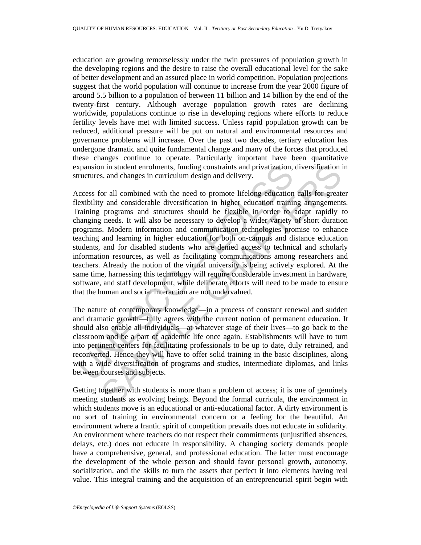education are growing remorselessly under the twin pressures of population growth in the developing regions and the desire to raise the overall educational level for the sake of better development and an assured place in world competition. Population projections suggest that the world population will continue to increase from the year 2000 figure of around 5.5 billion to a population of between 11 billion and 14 billion by the end of the twenty-first century. Although average population growth rates are declining worldwide, populations continue to rise in developing regions where efforts to reduce fertility levels have met with limited success. Unless rapid population growth can be reduced, additional pressure will be put on natural and environmental resources and governance problems will increase. Over the past two decades, tertiary education has undergone dramatic and quite fundamental change and many of the forces that produced these changes continue to operate. Particularly important have been quantitative expansion in student enrolments, funding constraints and privatization, diversification in structures, and changes in curriculum design and delivery.

xpansion in student enrolments, funding constraints and privatization, ructures, and changes in curriculum design and delivery.<br>
ccess for all combined with the need to promote lifelong education<br>
excess for all combined w n in student enrolments, funding constraints and privatization, diversification is, and changes in curriculum design and delivery.<br>
So and changes in curriculum design and delivery.<br>
So and considerable diversification in Access for all combined with the need to promote lifelong education calls for greater flexibility and considerable diversification in higher education training arrangements. Training programs and structures should be flexible in order to adapt rapidly to changing needs. It will also be necessary to develop a wider variety of short duration programs. Modern information and communication technologies promise to enhance teaching and learning in higher education for both on-campus and distance education students, and for disabled students who are denied access to technical and scholarly information resources, as well as facilitating communications among researchers and teachers. Already the notion of the virtual university is being actively explored. At the same time, harnessing this technology will require considerable investment in hardware, software, and staff development, while deliberate efforts will need to be made to ensure that the human and social interaction are not undervalued.

The nature of contemporary knowledge—in a process of constant renewal and sudden and dramatic growth—fully agrees with the current notion of permanent education. It should also enable all individuals—at whatever stage of their lives—to go back to the classroom and be a part of academic life once again. Establishments will have to turn into pertinent centers for facilitating professionals to be up to date, duly retrained, and reconverted. Hence they will have to offer solid training in the basic disciplines, along with a wide diversification of programs and studies, intermediate diplomas, and links between courses and subjects.

Getting together with students is more than a problem of access; it is one of genuinely meeting students as evolving beings. Beyond the formal curricula, the environment in which students move is an educational or anti-educational factor. A dirty environment is no sort of training in environmental concern or a feeling for the beautiful. An environment where a frantic spirit of competition prevails does not educate in solidarity. An environment where teachers do not respect their commitments (unjustified absences, delays, etc.) does not educate in responsibility. A changing society demands people have a comprehensive, general, and professional education. The latter must encourage the development of the whole person and should favor personal growth, autonomy, socialization, and the skills to turn the assets that perfect it into elements having real value. This integral training and the acquisition of an entrepreneurial spirit begin with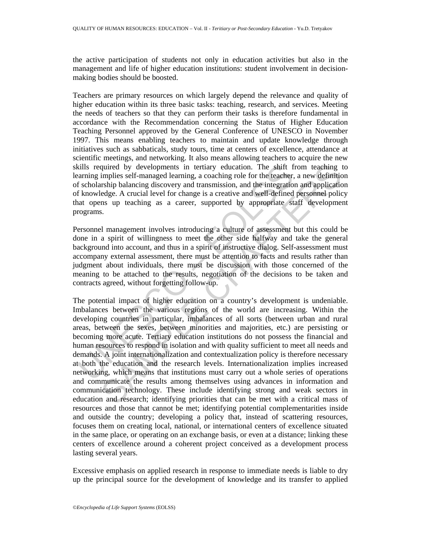the active participation of students not only in education activities but also in the management and life of higher education institutions: student involvement in decisionmaking bodies should be boosted.

Teachers are primary resources on which largely depend the relevance and quality of higher education within its three basic tasks: teaching, research, and services. Meeting the needs of teachers so that they can perform their tasks is therefore fundamental in accordance with the Recommendation concerning the Status of Higher Education Teaching Personnel approved by the General Conference of UNESCO in November 1997. This means enabling teachers to maintain and update knowledge through initiatives such as sabbaticals, study tours, time at centers of excellence, attendance at scientific meetings, and networking. It also means allowing teachers to acquire the new skills required by developments in tertiary education. The shift from teaching to learning implies self-managed learning, a coaching role for the teacher, a new definition of scholarship balancing discovery and transmission, and the integration and application of knowledge. A crucial level for change is a creative and well-defined personnel policy that opens up teaching as a career, supported by appropriate staff development programs.

Personnel management involves introducing a culture of assessment but this could be done in a spirit of willingness to meet the other side halfway and take the general background into account, and thus in a spirit of instructive dialog. Self-assessment must accompany external assessment, there must be attention to facts and results rather than judgment about individuals, there must be discussion with those concerned of the meaning to be attached to the results, negotiation of the decisions to be taken and contracts agreed, without forgetting follow-up.

cills required by developments in tertiary education. The shift f<br>arming implies self-managed learning, a coaching role for the teacher,<br>f scholarship balancing discovery and transmission, and the integratio<br>f scholarship quired by developments in tertiary education. The shift from teaching to<br>implies self-managed learning, a coaching role for the teacher, a new definition<br>irship balancing discovery and transmission, and the integration and The potential impact of higher education on a country's development is undeniable. Imbalances between the various regions of the world are increasing. Within the developing countries in particular, imbalances of all sorts (between urban and rural areas, between the sexes, between minorities and majorities, etc.) are persisting or becoming more acute. Tertiary education institutions do not possess the financial and human resources to respond in isolation and with quality sufficient to meet all needs and demands. A joint internationalization and contextualization policy is therefore necessary at both the education and the research levels. Internationalization implies increased networking, which means that institutions must carry out a whole series of operations and communicate the results among themselves using advances in information and communication technology. These include identifying strong and weak sectors in education and research; identifying priorities that can be met with a critical mass of resources and those that cannot be met; identifying potential complementarities inside and outside the country; developing a policy that, instead of scattering resources, focuses them on creating local, national, or international centers of excellence situated in the same place, or operating on an exchange basis, or even at a distance; linking these centers of excellence around a coherent project conceived as a development process lasting several years.

Excessive emphasis on applied research in response to immediate needs is liable to dry up the principal source for the development of knowledge and its transfer to applied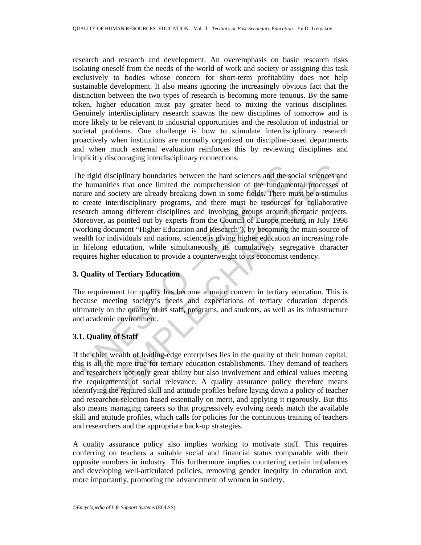research and research and development. An overemphasis on basic research risks isolating oneself from the needs of the world of work and society or assigning this task exclusively to bodies whose concern for short-term profitability does not help sustainable development. It also means ignoring the increasingly obvious fact that the distinction between the two types of research is becoming more tenuous. By the same token, higher education must pay greater heed to mixing the various disciplines. Genuinely interdisciplinary research spawns the new disciplines of tomorrow and is more likely to be relevant to industrial opportunities and the resolution of industrial or societal problems. One challenge is how to stimulate interdisciplinary research proactively when institutions are normally organized on discipline-based departments and when much external evaluation reinforces this by reviewing disciplines and implicitly discouraging interdisciplinary connections.

the rigid disciplinary boundaries between the hard sciences and the some summarities that once limited the comprehension of the fundamenture and society are already breaking down in some fields. There m or create interdisc I disciplinary boundaries between the hard sciences and the social sciences an anities that once limited the comprehension of the fundamental processes of society are already breaking down in some fields. There must be a s The rigid disciplinary boundaries between the hard sciences and the social sciences and the humanities that once limited the comprehension of the fundamental processes of nature and society are already breaking down in some fields. There must be a stimulus to create interdisciplinary programs, and there must be resources for collaborative research among different disciplines and involving groups around thematic projects. Moreover, as pointed out by experts from the Council of Europe meeting in July 1998 (working document "Higher Education and Research"), by becoming the main source of wealth for individuals and nations, science is giving higher education an increasing role in lifelong education, while simultaneously its cumulatively segregative character requires higher education to provide a counterweight to its economist tendency.

### **3. Quality of Tertiary Education**

The requirement for quality has become a major concern in tertiary education. This is because meeting society's needs and expectations of tertiary education depends ultimately on the quality of its staff, programs, and students, as well as its infrastructure and academic environment.

### **3.1. Quality of Staff**

If the chief wealth of leading-edge enterprises lies in the quality of their human capital, this is all the more true for tertiary education establishments. They demand of teachers and researchers not only great ability but also involvement and ethical values meeting the requirements of social relevance. A quality assurance policy therefore means identifying the required skill and attitude profiles before laying down a policy of teacher and researcher selection based essentially on merit, and applying it rigorously. But this also means managing careers so that progressively evolving needs match the available skill and attitude profiles, which calls for policies for the continuous training of teachers and researchers and the appropriate back-up strategies.

A quality assurance policy also implies working to motivate staff. This requires conferring on teachers a suitable social and financial status comparable with their opposite numbers in industry. This furthermore implies countering certain imbalances and developing well-articulated policies, removing gender inequity in education and, more importantly, promoting the advancement of women in society.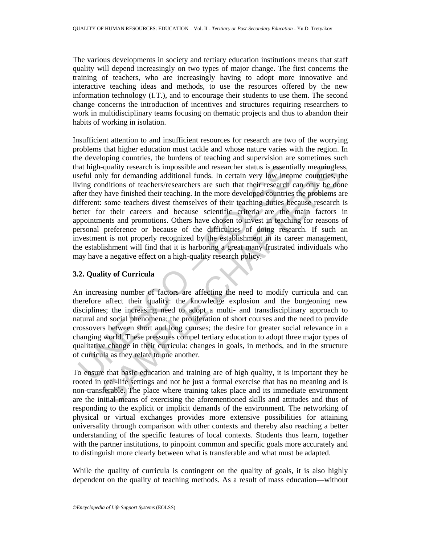The various developments in society and tertiary education institutions means that staff quality will depend increasingly on two types of major change. The first concerns the training of teachers, who are increasingly having to adopt more innovative and interactive teaching ideas and methods, to use the resources offered by the new information technology (I.T.), and to encourage their students to use them. The second change concerns the introduction of incentives and structures requiring researchers to work in multidisciplinary teams focusing on thematic projects and thus to abandon their habits of working in isolation.

and high-quality research is impossible and researcher status is essentiated unly for demanding additional funds. In certain very low incomproming conditions of teachers/researchers are such that their research ten there i -quality research is impossible and researcher status is essentially meaningles<br>up for demanding additional funds. In certain very low income countries, the<br>moditions of teachers/researchers are such that their research c Insufficient attention to and insufficient resources for research are two of the worrying problems that higher education must tackle and whose nature varies with the region. In the developing countries, the burdens of teaching and supervision are sometimes such that high-quality research is impossible and researcher status is essentially meaningless, useful only for demanding additional funds. In certain very low income countries, the living conditions of teachers/researchers are such that their research can only be done after they have finished their teaching. In the more developed countries the problems are different: some teachers divest themselves of their teaching duties because research is better for their careers and because scientific criteria are the main factors in appointments and promotions. Others have chosen to invest in teaching for reasons of personal preference or because of the difficulties of doing research. If such an investment is not properly recognized by the establishment in its career management, the establishment will find that it is harboring a great many frustrated individuals who may have a negative effect on a high-quality research policy.

### **3.2. Quality of Curricula**

An increasing number of factors are affecting the need to modify curricula and can therefore affect their quality: the knowledge explosion and the burgeoning new disciplines; the increasing need to adopt a multi- and transdisciplinary approach to natural and social phenomena; the proliferation of short courses and the need to provide crossovers between short and long courses; the desire for greater social relevance in a changing world. These pressures compel tertiary education to adopt three major types of qualitative change in their curricula: changes in goals, in methods, and in the structure of curricula as they relate to one another.

To ensure that basic education and training are of high quality, it is important they be rooted in real-life settings and not be just a formal exercise that has no meaning and is non-transferable. The place where training takes place and its immediate environment are the initial means of exercising the aforementioned skills and attitudes and thus of responding to the explicit or implicit demands of the environment. The networking of physical or virtual exchanges provides more extensive possibilities for attaining universality through comparison with other contexts and thereby also reaching a better understanding of the specific features of local contexts. Students thus learn, together with the partner institutions, to pinpoint common and specific goals more accurately and to distinguish more clearly between what is transferable and what must be adapted.

While the quality of curricula is contingent on the quality of goals, it is also highly dependent on the quality of teaching methods. As a result of mass education—without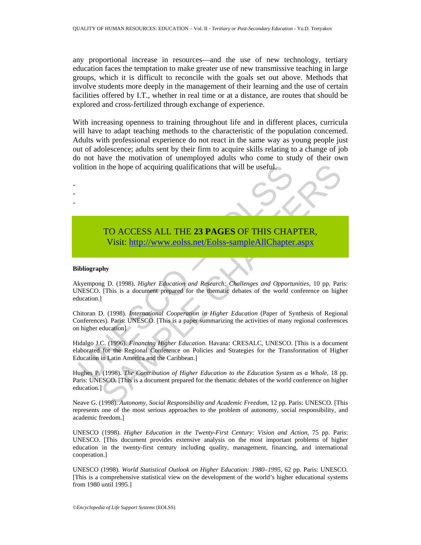any proportional increase in resources—and the use of new technology, tertiary education faces the temptation to make greater use of new transmissive teaching in large groups, which it is difficult to reconcile with the goals set out above. Methods that involve students more deeply in the management of their learning and the use of certain facilities offered by I.T., whether in real time or at a distance, are routes that should be explored and cross-fertilized through exchange of experience.

With increasing openness to training throughout life and in different places, curricula will have to adapt teaching methods to the characteristic of the population concerned. Adults with professional experience do not react in the same way as young people just out of adolescence; adults sent by their firm to acquire skills relating to a change of job do not have the motivation of unemployed adults who come to study of their own volition in the hope of acquiring qualifications that will be useful.

## TO ACCESS ALL THE **23 PAGES** OF THIS CHAPTER, Visit: http://www.eolss.net/Eolss-sampleAllChapter.aspx

#### **Bibliography**

- - -

olition in the hope of acquiring qualifications that will be useful.<br>
TO ACCESS ALL THE 23 PAGES OF THIS CHAI<br>
Visit: http://www.eolss.net/Eolss-sampleAllChapter<br>
ibliography<br>
ibliography<br>
ibliography<br>
https://www.eolss.ne TO ACCESS ALL THE 23 PAGES OF THIS CH[APT](https://www.eolss.net/ebooklib/sc_cart.aspx?File=E1-12-03-03)ER,<br>
TO ACCESS ALL THE 23 PAGES OF THIS CHAPTER,<br>
Visit: http://www.eolss.net/Eolss-sampleAllChapter.aspx<br>
phy<br>
ng D. (1998). *Higher Education and Research: Challenges and Opportuni* Akyempong D. (1998). *Higher Education and Research: Challenges and Opportunities*, 10 pp. Paris: UNESCO. [This is a document prepared for the thematic debates of the world conference on higher education.]

Chitoran D. (1998). *International Cooperation in Higher Education* (Paper of Synthesis of Regional Conferences). Paris: UNESCO. [This is a paper summarizing the activities of many regional conferences on higher education]

Hidalgo J.C. (1996). *Financing Higher Education*. Havana: CRESALC, UNESCO. [This is a document elaborated for the Regional Conference on Policies and Strategies for the Transformation of Higher Education in Latin America and the Caribbean.]

Hughes P. (1998). *The Contribution of Higher Education to the Education System as a Whole*, 18 pp. Paris: UNESCO. [This is a document prepared for the thematic debates of the world conference on higher education.]

Neave G. (1998). *Autonomy, Social Responsibility and Academic Freedom*, 12 pp. Paris: UNESCO. [This represents one of the most serious approaches to the problem of autonomy, social responsibility, and academic freedom.]

UNESCO (1998). *Higher Education in the Twenty-First Century: Vision and Action*, 75 pp. Paris: UNESCO. [This document provides extensive analysis on the most important problems of higher education in the twenty-first century including quality, management, financing, and international cooperation.]

UNESCO (1998). *World Statistical Outlook on Higher Education: 1980–1995*, 62 pp. Paris: UNESCO. [This is a comprehensive statistical view on the development of the world's higher educational systems from 1980 until 1995.]